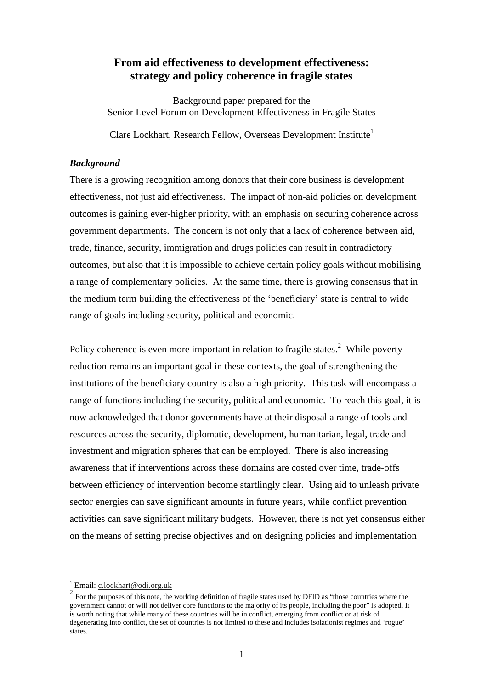## **From aid effectiveness to development effectiveness: strategy and policy coherence in fragile states**

Background paper prepared for the Senior Level Forum on Development Effectiveness in Fragile States

Clare Lockhart, Research Fellow, Overseas Development Institute<sup>1</sup>

## *Background*

There is a growing recognition among donors that their core business is development effectiveness, not just aid effectiveness. The impact of non-aid policies on development outcomes is gaining ever-higher priority, with an emphasis on securing coherence across government departments. The concern is not only that a lack of coherence between aid, trade, finance, security, immigration and drugs policies can result in contradictory outcomes, but also that it is impossible to achieve certain policy goals without mobilising a range of complementary policies. At the same time, there is growing consensus that in the medium term building the effectiveness of the 'beneficiary' state is central to wide range of goals including security, political and economic.

Policy coherence is even more important in relation to fragile states.<sup>2</sup> While poverty reduction remains an important goal in these contexts, the goal of strengthening the institutions of the beneficiary country is also a high priority. This task will encompass a range of functions including the security, political and economic. To reach this goal, it is now acknowledged that donor governments have at their disposal a range of tools and resources across the security, diplomatic, development, humanitarian, legal, trade and investment and migration spheres that can be employed. There is also increasing awareness that if interventions across these domains are costed over time, trade-offs between efficiency of intervention become startlingly clear. Using aid to unleash private sector energies can save significant amounts in future years, while conflict prevention activities can save significant military budgets. However, there is not yet consensus either on the means of setting precise objectives and on designing policies and implementation

 $\frac{1}{1}$  Email: c.lockhart@odi.org.uk

 $\overline{a}$  For the purposes of this note, the working definition of fragile states used by DFID as "those countries where the government cannot or will not deliver core functions to the majority of its people, including the poor" is adopted. It is worth noting that while many of these countries will be in conflict, emerging from conflict or at risk of degenerating into conflict, the set of countries is not limited to these and includes isolationist regimes and 'rogue' states.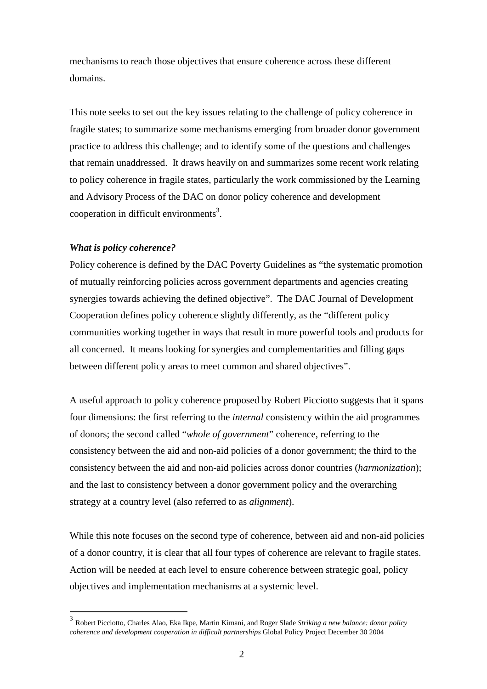mechanisms to reach those objectives that ensure coherence across these different domains.

This note seeks to set out the key issues relating to the challenge of policy coherence in fragile states; to summarize some mechanisms emerging from broader donor government practice to address this challenge; and to identify some of the questions and challenges that remain unaddressed. It draws heavily on and summarizes some recent work relating to policy coherence in fragile states, particularly the work commissioned by the Learning and Advisory Process of the DAC on donor policy coherence and development cooperation in difficult environments<sup>3</sup>.

## *What is policy coherence?*

 $\overline{a}$ 

Policy coherence is defined by the DAC Poverty Guidelines as "the systematic promotion of mutually reinforcing policies across government departments and agencies creating synergies towards achieving the defined objective". The DAC Journal of Development Cooperation defines policy coherence slightly differently, as the "different policy communities working together in ways that result in more powerful tools and products for all concerned. It means looking for synergies and complementarities and filling gaps between different policy areas to meet common and shared objectives".

A useful approach to policy coherence proposed by Robert Picciotto suggests that it spans four dimensions: the first referring to the *internal* consistency within the aid programmes of donors; the second called "*whole of government*" coherence, referring to the consistency between the aid and non-aid policies of a donor government; the third to the consistency between the aid and non-aid policies across donor countries (*harmonization*); and the last to consistency between a donor government policy and the overarching strategy at a country level (also referred to as *alignment*).

While this note focuses on the second type of coherence, between aid and non-aid policies of a donor country, it is clear that all four types of coherence are relevant to fragile states. Action will be needed at each level to ensure coherence between strategic goal, policy objectives and implementation mechanisms at a systemic level.

<sup>3</sup> Robert Picciotto, Charles Alao, Eka Ikpe, Martin Kimani, and Roger Slade *Striking a new balance: donor policy coherence and development cooperation in difficult partnerships* Global Policy Project December 30 2004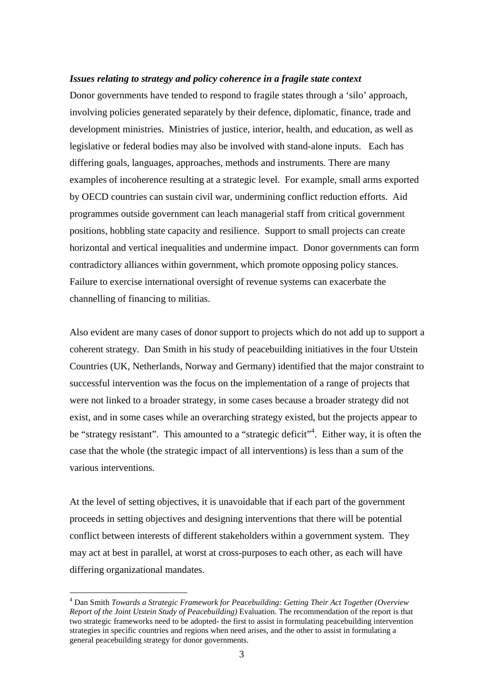#### *Issues relating to strategy and policy coherence in a fragile state context*

Donor governments have tended to respond to fragile states through a 'silo' approach, involving policies generated separately by their defence, diplomatic, finance, trade and development ministries. Ministries of justice, interior, health, and education, as well as legislative or federal bodies may also be involved with stand-alone inputs. Each has differing goals, languages, approaches, methods and instruments. There are many examples of incoherence resulting at a strategic level. For example, small arms exported by OECD countries can sustain civil war, undermining conflict reduction efforts. Aid programmes outside government can leach managerial staff from critical government positions, hobbling state capacity and resilience. Support to small projects can create horizontal and vertical inequalities and undermine impact. Donor governments can form contradictory alliances within government, which promote opposing policy stances. Failure to exercise international oversight of revenue systems can exacerbate the channelling of financing to militias.

Also evident are many cases of donor support to projects which do not add up to support a coherent strategy. Dan Smith in his study of peacebuilding initiatives in the four Utstein Countries (UK, Netherlands, Norway and Germany) identified that the major constraint to successful intervention was the focus on the implementation of a range of projects that were not linked to a broader strategy, in some cases because a broader strategy did not exist, and in some cases while an overarching strategy existed, but the projects appear to be "strategy resistant". This amounted to a "strategic deficit"<sup>4</sup>. Either way, it is often the case that the whole (the strategic impact of all interventions) is less than a sum of the various interventions.

At the level of setting objectives, it is unavoidable that if each part of the government proceeds in setting objectives and designing interventions that there will be potential conflict between interests of different stakeholders within a government system. They may act at best in parallel, at worst at cross-purposes to each other, as each will have differing organizational mandates.

<sup>4</sup> Dan Smith *Towards a Strategic Framework for Peacebuilding: Getting Their Act Together (Overview Report of the Joint Utstein Study of Peacebuilding)* Evaluation. The recommendation of the report is that two strategic frameworks need to be adopted- the first to assist in formulating peacebuilding intervention strategies in specific countries and regions when need arises, and the other to assist in formulating a general peacebuilding strategy for donor governments.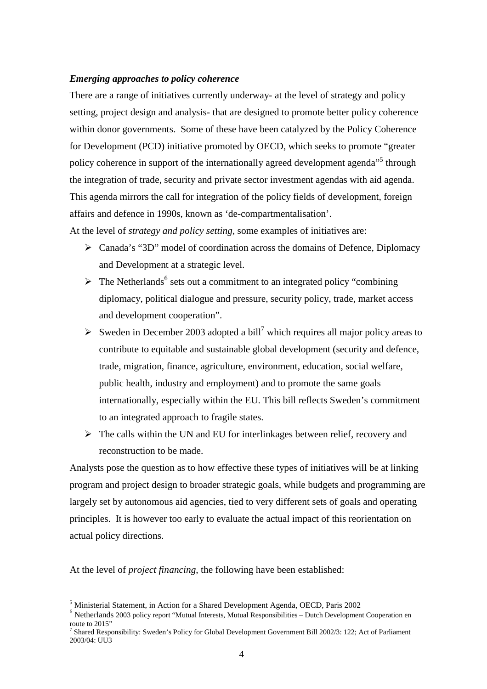#### *Emerging approaches to policy coherence*

There are a range of initiatives currently underway- at the level of strategy and policy setting, project design and analysis- that are designed to promote better policy coherence within donor governments. Some of these have been catalyzed by the Policy Coherence for Development (PCD) initiative promoted by OECD, which seeks to promote "greater policy coherence in support of the internationally agreed development agenda<sup>"5</sup> through the integration of trade, security and private sector investment agendas with aid agenda. This agenda mirrors the call for integration of the policy fields of development, foreign affairs and defence in 1990s, known as 'de-compartmentalisation'.

At the level of *strategy and policy setting*, some examples of initiatives are:

- ¾ Canada's "3D" model of coordination across the domains of Defence, Diplomacy and Development at a strategic level.
- $\triangleright$  The Netherlands<sup>6</sup> sets out a commitment to an integrated policy "combining" diplomacy, political dialogue and pressure, security policy, trade, market access and development cooperation".
- $\triangleright$  Sweden in December 2003 adopted a bill<sup>7</sup> which requires all major policy areas to contribute to equitable and sustainable global development (security and defence, trade, migration, finance, agriculture, environment, education, social welfare, public health, industry and employment) and to promote the same goals internationally, especially within the EU. This bill reflects Sweden's commitment to an integrated approach to fragile states.
- $\triangleright$  The calls within the UN and EU for interlinkages between relief, recovery and reconstruction to be made.

Analysts pose the question as to how effective these types of initiatives will be at linking program and project design to broader strategic goals, while budgets and programming are largely set by autonomous aid agencies, tied to very different sets of goals and operating principles. It is however too early to evaluate the actual impact of this reorientation on actual policy directions.

At the level of *project financing*, the following have been established:

<sup>&</sup>lt;sup>5</sup> Ministerial Statement, in Action for a Shared Development Agenda, OECD, Paris 2002

<sup>&</sup>lt;sup>6</sup> Netherlands 2003 policy report "Mutual Interests, Mutual Responsibilities – Dutch Development Cooperation en route to 2015"

<sup>&</sup>lt;sup>7</sup> Shared Responsibility: Sweden's Policy for Global Development Government Bill 2002/3: 122; Act of Parliament 2003/04: UU3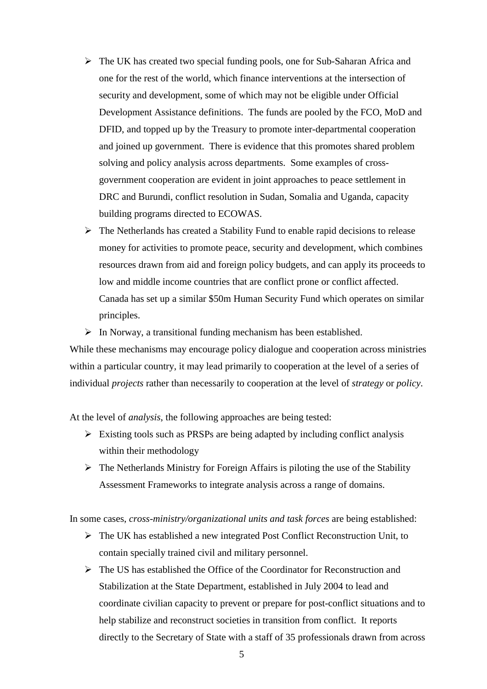- $\triangleright$  The UK has created two special funding pools, one for Sub-Saharan Africa and one for the rest of the world, which finance interventions at the intersection of security and development, some of which may not be eligible under Official Development Assistance definitions. The funds are pooled by the FCO, MoD and DFID, and topped up by the Treasury to promote inter-departmental cooperation and joined up government. There is evidence that this promotes shared problem solving and policy analysis across departments. Some examples of crossgovernment cooperation are evident in joint approaches to peace settlement in DRC and Burundi, conflict resolution in Sudan, Somalia and Uganda, capacity building programs directed to ECOWAS.
- $\triangleright$  The Netherlands has created a Stability Fund to enable rapid decisions to release money for activities to promote peace, security and development, which combines resources drawn from aid and foreign policy budgets, and can apply its proceeds to low and middle income countries that are conflict prone or conflict affected. Canada has set up a similar \$50m Human Security Fund which operates on similar principles.

 $\triangleright$  In Norway, a transitional funding mechanism has been established.

While these mechanisms may encourage policy dialogue and cooperation across ministries within a particular country, it may lead primarily to cooperation at the level of a series of individual *projects* rather than necessarily to cooperation at the level of *strategy* or *policy*.

At the level of *analysis*, the following approaches are being tested:

- $\triangleright$  Existing tools such as PRSPs are being adapted by including conflict analysis within their methodology
- $\triangleright$  The Netherlands Ministry for Foreign Affairs is piloting the use of the Stability Assessment Frameworks to integrate analysis across a range of domains.

In some cases, *cross-ministry/organizational units and task forces* are being established:

- $\triangleright$  The UK has established a new integrated Post Conflict Reconstruction Unit, to contain specially trained civil and military personnel.
- $\triangleright$  The US has established the Office of the Coordinator for Reconstruction and Stabilization at the State Department, established in July 2004 to lead and coordinate civilian capacity to prevent or prepare for post-conflict situations and to help stabilize and reconstruct societies in transition from conflict. It reports directly to the Secretary of State with a staff of 35 professionals drawn from across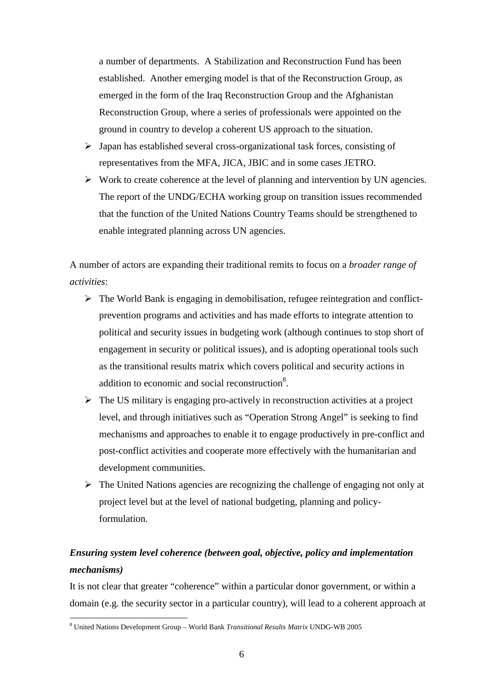a number of departments. A Stabilization and Reconstruction Fund has been established. Another emerging model is that of the Reconstruction Group, as emerged in the form of the Iraq Reconstruction Group and the Afghanistan Reconstruction Group, where a series of professionals were appointed on the ground in country to develop a coherent US approach to the situation.

- $\triangleright$  Japan has established several cross-organizational task forces, consisting of representatives from the MFA, JICA, JBIC and in some cases JETRO.
- $\triangleright$  Work to create coherence at the level of planning and intervention by UN agencies. The report of the UNDG/ECHA working group on transition issues recommended that the function of the United Nations Country Teams should be strengthened to enable integrated planning across UN agencies.

A number of actors are expanding their traditional remits to focus on a *broader range of activities*:

- $\triangleright$  The World Bank is engaging in demobilisation, refugee reintegration and conflictprevention programs and activities and has made efforts to integrate attention to political and security issues in budgeting work (although continues to stop short of engagement in security or political issues), and is adopting operational tools such as the transitional results matrix which covers political and security actions in addition to economic and social reconstruction<sup>8</sup>.
- $\triangleright$  The US military is engaging pro-actively in reconstruction activities at a project level, and through initiatives such as "Operation Strong Angel" is seeking to find mechanisms and approaches to enable it to engage productively in pre-conflict and post-conflict activities and cooperate more effectively with the humanitarian and development communities.
- $\triangleright$  The United Nations agencies are recognizing the challenge of engaging not only at project level but at the level of national budgeting, planning and policyformulation.

# *Ensuring system level coherence (between goal, objective, policy and implementation mechanisms)*

It is not clear that greater "coherence" within a particular donor government, or within a domain (e.g. the security sector in a particular country), will lead to a coherent approach at

<sup>8</sup> United Nations Development Group – World Bank *Transitional Results Matrix* UNDG-WB 2005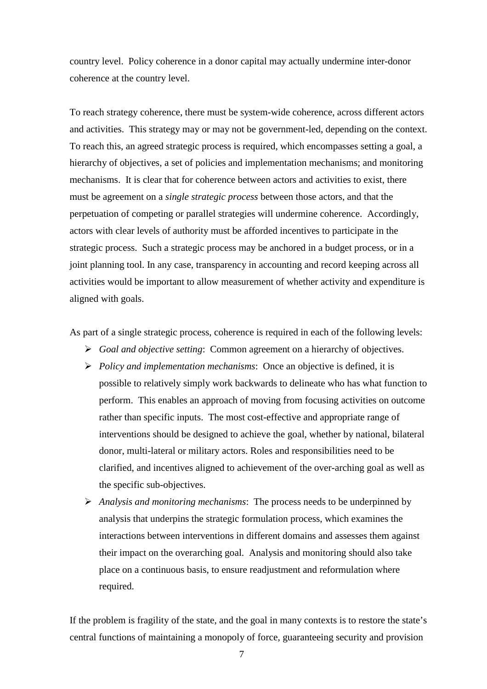country level. Policy coherence in a donor capital may actually undermine inter-donor coherence at the country level.

To reach strategy coherence, there must be system-wide coherence, across different actors and activities. This strategy may or may not be government-led, depending on the context. To reach this, an agreed strategic process is required, which encompasses setting a goal, a hierarchy of objectives, a set of policies and implementation mechanisms; and monitoring mechanisms. It is clear that for coherence between actors and activities to exist, there must be agreement on a *single strategic process* between those actors, and that the perpetuation of competing or parallel strategies will undermine coherence. Accordingly, actors with clear levels of authority must be afforded incentives to participate in the strategic process. Such a strategic process may be anchored in a budget process, or in a joint planning tool. In any case, transparency in accounting and record keeping across all activities would be important to allow measurement of whether activity and expenditure is aligned with goals.

As part of a single strategic process, coherence is required in each of the following levels:

- ¾ *Goal and objective setting*: Common agreement on a hierarchy of objectives.
- ¾ *Policy and implementation mechanisms*: Once an objective is defined, it is possible to relatively simply work backwards to delineate who has what function to perform. This enables an approach of moving from focusing activities on outcome rather than specific inputs. The most cost-effective and appropriate range of interventions should be designed to achieve the goal, whether by national, bilateral donor, multi-lateral or military actors. Roles and responsibilities need to be clarified, and incentives aligned to achievement of the over-arching goal as well as the specific sub-objectives.
- ¾ *Analysis and monitoring mechanisms*: The process needs to be underpinned by analysis that underpins the strategic formulation process, which examines the interactions between interventions in different domains and assesses them against their impact on the overarching goal. Analysis and monitoring should also take place on a continuous basis, to ensure readjustment and reformulation where required.

If the problem is fragility of the state, and the goal in many contexts is to restore the state's central functions of maintaining a monopoly of force, guaranteeing security and provision

7